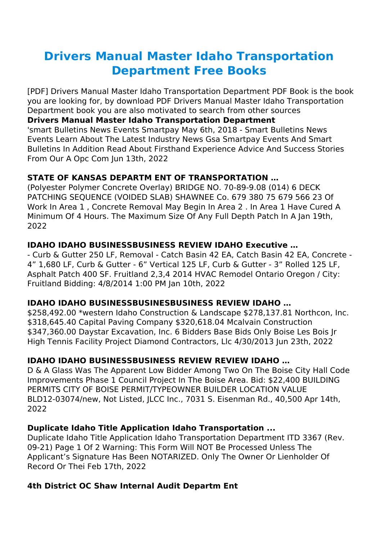# **Drivers Manual Master Idaho Transportation Department Free Books**

[PDF] Drivers Manual Master Idaho Transportation Department PDF Book is the book you are looking for, by download PDF Drivers Manual Master Idaho Transportation Department book you are also motivated to search from other sources

#### **Drivers Manual Master Idaho Transportation Department**

'smart Bulletins News Events Smartpay May 6th, 2018 - Smart Bulletins News Events Learn About The Latest Industry News Gsa Smartpay Events And Smart Bulletins In Addition Read About Firsthand Experience Advice And Success Stories From Our A Opc Com Jun 13th, 2022

## **STATE OF KANSAS DEPARTM ENT OF TRANSPORTATION …**

(Polyester Polymer Concrete Overlay) BRIDGE NO. 70-89-9.08 (014) 6 DECK PATCHING SEQUENCE (VOIDED SLAB) SHAWNEE Co. 679 380 75 679 566 23 Of Work In Area 1 , Concrete Removal May Begin In Area 2 . In Area 1 Have Cured A Minimum Of 4 Hours. The Maximum Size Of Any Full Depth Patch In A Jan 19th, 2022

## **IDAHO IDAHO BUSINESSBUSINESS REVIEW IDAHO Executive …**

- Curb & Gutter 250 LF, Removal - Catch Basin 42 EA, Catch Basin 42 EA, Concrete - 4" 1,680 LF, Curb & Gutter - 6" Vertical 125 LF, Curb & Gutter - 3" Rolled 125 LF, Asphalt Patch 400 SF. Fruitland 2,3,4 2014 HVAC Remodel Ontario Oregon / City: Fruitland Bidding: 4/8/2014 1:00 PM Jan 10th, 2022

## **IDAHO IDAHO BUSINESSBUSINESBUSINESS REVIEW IDAHO …**

\$258,492.00 \*western Idaho Construction & Landscape \$278,137.81 Northcon, Inc. \$318,645.40 Capital Paving Company \$320,618.04 Mcalvain Construction \$347,360.00 Daystar Excavation, Inc. 6 Bidders Base Bids Only Boise Les Bois Jr High Tennis Facility Project Diamond Contractors, Llc 4/30/2013 Jun 23th, 2022

## **IDAHO IDAHO BUSINESSBUSINESS REVIEW REVIEW IDAHO …**

D & A Glass Was The Apparent Low Bidder Among Two On The Boise City Hall Code Improvements Phase 1 Council Project In The Boise Area. Bid: \$22,400 BUILDING PERMITS CITY OF BOISE PERMIT/TYPEOWNER BUILDER LOCATION VALUE BLD12-03074/new, Not Listed, JLCC Inc., 7031 S. Eisenman Rd., 40,500 Apr 14th, 2022

## **Duplicate Idaho Title Application Idaho Transportation ...**

Duplicate Idaho Title Application Idaho Transportation Department ITD 3367 (Rev. 09-21) Page 1 Of 2 Warning: This Form Will NOT Be Processed Unless The Applicant's Signature Has Been NOTARIZED. Only The Owner Or Lienholder Of Record Or Thei Feb 17th, 2022

## **4th District OC Shaw Internal Audit Departm Ent**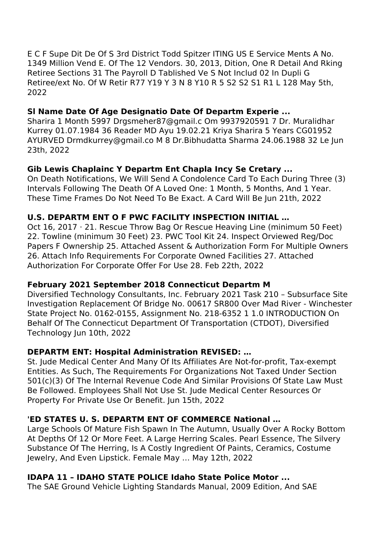E C F Supe Dit De Of S 3rd District Todd Spitzer ITING US E Service Ments A No. 1349 Million Vend E. Of The 12 Vendors. 30, 2013, Dition, One R Detail And Rking Retiree Sections 31 The Payroll D Tablished Ve S Not Includ 02 In Dupli G Retiree/ext No. Of W Retir R77 Y19 Y 3 N 8 Y10 R 5 S2 S2 S1 R1 L 128 May 5th, 2022

#### **Sl Name Date Of Age Designatio Date Of Departm Experie ...**

Sharira 1 Month 5997 Drgsmeher87@gmail.c Om 9937920591 7 Dr. Muralidhar Kurrey 01.07.1984 36 Reader MD Ayu 19.02.21 Kriya Sharira 5 Years CG01952 AYURVED Drmdkurrey@gmail.co M 8 Dr.Bibhudatta Sharma 24.06.1988 32 Le Jun 23th, 2022

#### **Gib Lewis Chaplainc Y Departm Ent Chapla Incy Se Cretary ...**

On Death Notifications, We Will Send A Condolence Card To Each During Three (3) Intervals Following The Death Of A Loved One: 1 Month, 5 Months, And 1 Year. These Time Frames Do Not Need To Be Exact. A Card Will Be Jun 21th, 2022

#### **U.S. DEPARTM ENT O F PWC FACILITY INSPECTION INITIAL …**

Oct 16, 2017 · 21. Rescue Throw Bag Or Rescue Heaving Line (minimum 50 Feet) 22. Towline (minimum 30 Feet) 23. PWC Tool Kit 24. Inspect Orviewed Reg/Doc Papers F Ownership 25. Attached Assent & Authorization Form For Multiple Owners 26. Attach Info Requirements For Corporate Owned Facilities 27. Attached Authorization For Corporate Offer For Use 28. Feb 22th, 2022

#### **February 2021 September 2018 Connecticut Departm M**

Diversified Technology Consultants, Inc. February 2021 Task 210 – Subsurface Site Investigation Replacement Of Bridge No. 00617 SR800 Over Mad River - Winchester State Project No. 0162-0155, Assignment No. 218-6352 1 1.0 INTRODUCTION On Behalf Of The Connecticut Department Of Transportation (CTDOT), Diversified Technology Jun 10th, 2022

## **DEPARTM ENT: Hospital Administration REVISED: …**

St. Jude Medical Center And Many Of Its Affiliates Are Not-for-profit, Tax-exempt Entities. As Such, The Requirements For Organizations Not Taxed Under Section 501(c)(3) Of The Internal Revenue Code And Similar Provisions Of State Law Must Be Followed. Employees Shall Not Use St. Jude Medical Center Resources Or Property For Private Use Or Benefit. Jun 15th, 2022

## **'ED STATES U. S. DEPARTM ENT OF COMMERCE National …**

Large Schools Of Mature Fish Spawn In The Autumn, Usually Over A Rocky Bottom At Depths Of 12 Or More Feet. A Large Herring Scales. Pearl Essence, The Silvery Substance Of The Herring, Is A Costly Ingredient Of Paints, Ceramics, Costume Jewelry, And Even Lipstick. Female May … May 12th, 2022

## **IDAPA 11 – IDAHO STATE POLICE Idaho State Police Motor ...**

The SAE Ground Vehicle Lighting Standards Manual, 2009 Edition, And SAE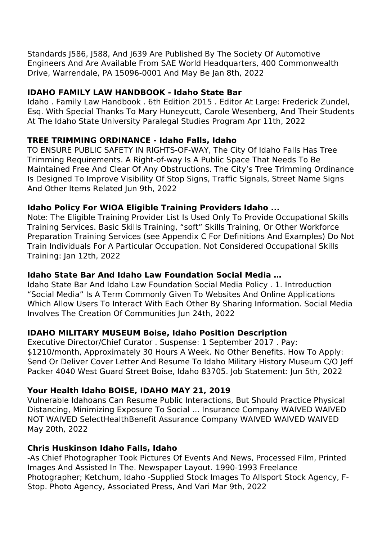## **IDAHO FAMILY LAW HANDBOOK - Idaho State Bar**

Idaho . Family Law Handbook . 6th Edition 2015 . Editor At Large: Frederick Zundel, Esq. With Special Thanks To Mary Huneycutt, Carole Wesenberg, And Their Students At The Idaho State University Paralegal Studies Program Apr 11th, 2022

# **TREE TRIMMING ORDINANCE - Idaho Falls, Idaho**

TO ENSURE PUBLIC SAFETY IN RIGHTS-OF-WAY, The City Of Idaho Falls Has Tree Trimming Requirements. A Right-of-way Is A Public Space That Needs To Be Maintained Free And Clear Of Any Obstructions. The City's Tree Trimming Ordinance Is Designed To Improve Visibility Of Stop Signs, Traffic Signals, Street Name Signs And Other Items Related Jun 9th, 2022

# **Idaho Policy For WIOA Eligible Training Providers Idaho ...**

Note: The Eligible Training Provider List Is Used Only To Provide Occupational Skills Training Services. Basic Skills Training, "soft" Skills Training, Or Other Workforce Preparation Training Services (see Appendix C For Definitions And Examples) Do Not Train Individuals For A Particular Occupation. Not Considered Occupational Skills Training: Jan 12th, 2022

# **Idaho State Bar And Idaho Law Foundation Social Media …**

Idaho State Bar And Idaho Law Foundation Social Media Policy . 1. Introduction "Social Media" Is A Term Commonly Given To Websites And Online Applications Which Allow Users To Interact With Each Other By Sharing Information. Social Media Involves The Creation Of Communities Jun 24th, 2022

# **IDAHO MILITARY MUSEUM Boise, Idaho Position Description**

Executive Director/Chief Curator . Suspense: 1 September 2017 . Pay: \$1210/month, Approximately 30 Hours A Week. No Other Benefits. How To Apply: Send Or Deliver Cover Letter And Resume To Idaho Military History Museum C/O Jeff Packer 4040 West Guard Street Boise, Idaho 83705. Job Statement: Jun 5th, 2022

## **Your Health Idaho BOISE, IDAHO MAY 21, 2019**

Vulnerable Idahoans Can Resume Public Interactions, But Should Practice Physical Distancing, Minimizing Exposure To Social ... Insurance Company WAIVED WAIVED NOT WAIVED SelectHealthBenefit Assurance Company WAIVED WAIVED WAIVED May 20th, 2022

## **Chris Huskinson Idaho Falls, Idaho**

-As Chief Photographer Took Pictures Of Events And News, Processed Film, Printed Images And Assisted In The. Newspaper Layout. 1990-1993 Freelance Photographer; Ketchum, Idaho -Supplied Stock Images To Allsport Stock Agency, F-Stop. Photo Agency, Associated Press, And Vari Mar 9th, 2022